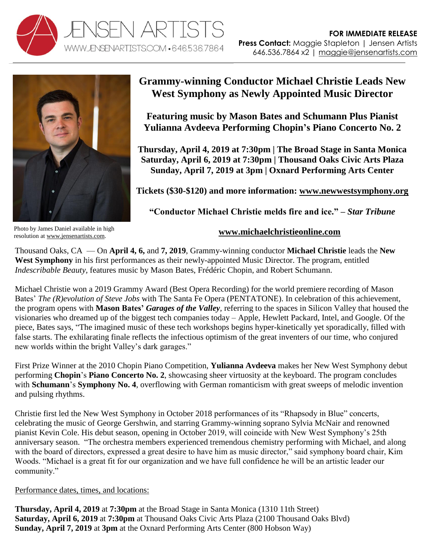



**Grammy-winning Conductor Michael Christie Leads New West Symphony as Newly Appointed Music Director**

**Featuring music by Mason Bates and Schumann Plus Pianist Yulianna Avdeeva Performing Chopin's Piano Concerto No. 2**

**Thursday, April 4, 2019 at 7:30pm | The Broad Stage in Santa Monica Saturday, April 6, 2019 at 7:30pm | Thousand Oaks Civic Arts Plaza Sunday, April 7, 2019 at 3pm | Oxnard Performing Arts Center**

**Tickets (\$30-\$120) and more information: [www.newwestsymphony.org](https://newwestsymphony.org/2018-2019-masterpiece-series/indescribable-beauty/)**

**"Conductor Michael Christie melds fire and ice." –** *Star Tribune*

Photo by James Daniel available in high resolution at [www.jensenartists.com.](http://www.jensenartists.com/)

## **[www.michaelchristieonline.com](http://www.michaelchristieonline.com/)**

Thousand Oaks, CA — On **April 4, 6,** and **7, 2019**, Grammy-winning conductor **Michael Christie** leads the **New West Symphony** in his first performances as their newly-appointed Music Director. The program, entitled *Indescribable Beauty,* features music by Mason Bates, Frédéric Chopin, and Robert Schumann.

Michael Christie won a 2019 Grammy Award (Best Opera Recording) for the world premiere recording of Mason Bates' *The (R)evolution of Steve Jobs* with The Santa Fe Opera (PENTATONE). In celebration of this achievement, the program opens with **Mason Bates'** *Garages of the Valley,* referring to the spaces in Silicon Valley that housed the visionaries who dreamed up of the biggest tech companies today – Apple, Hewlett Packard, Intel, and Google. Of the piece, Bates says, "The imagined music of these tech workshops begins hyper-kinetically yet sporadically, filled with false starts. The exhilarating finale reflects the infectious optimism of the great inventers of our time, who conjured new worlds within the bright Valley's dark garages."

First Prize Winner at the 2010 Chopin Piano Competition, **Yulianna Avdeeva** makes her New West Symphony debut performing **Chopin**'s **Piano Concerto No. 2**, showcasing sheer virtuosity at the keyboard. The program concludes with **Schumann**'s **Symphony No. 4**, overflowing with German romanticism with great sweeps of melodic invention and pulsing rhythms.

Christie first led the New West Symphony in October 2018 performances of its "Rhapsody in Blue" concerts, celebrating the music of George Gershwin, and starring Grammy-winning soprano Sylvia McNair and renowned pianist Kevin Cole. His debut season, opening in October 2019, will coincide with New West Symphony's 25th anniversary season. "The orchestra members experienced tremendous chemistry performing with Michael, and along with the board of directors, expressed a great desire to have him as music director," said symphony board chair, Kim Woods. "Michael is a great fit for our organization and we have full confidence he will be an artistic leader our community."

## Performance dates, times, and locations:

**Thursday, April 4, 2019** at **7:30pm** at the Broad Stage in Santa Monica (1310 11th Street) **Saturday, April 6, 2019** at **7:30pm** at Thousand Oaks Civic Arts Plaza (2100 Thousand Oaks Blvd) **Sunday, April 7, 2019** at **3pm** at the Oxnard Performing Arts Center (800 Hobson Way)